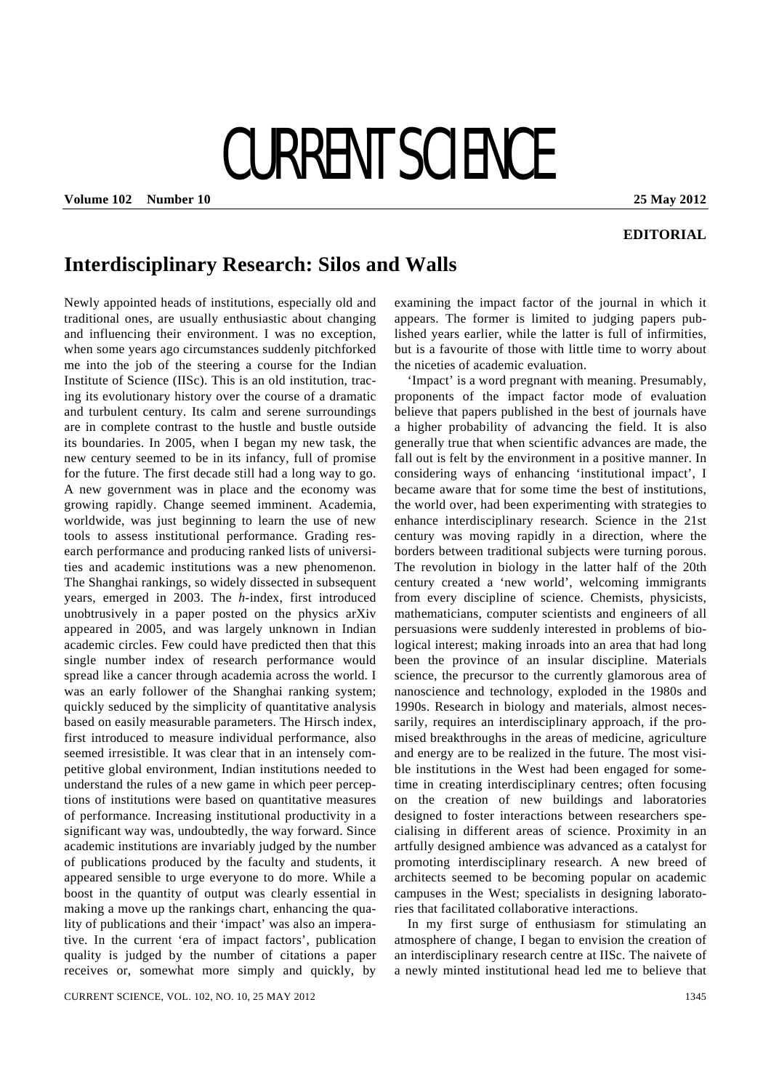# CURRENT SCIENCE

**Volume 102 Number 10 25 May 2012** 

# **EDITORIAL**

# **Interdisciplinary Research: Silos and Walls**

Newly appointed heads of institutions, especially old and traditional ones, are usually enthusiastic about changing and influencing their environment. I was no exception, when some years ago circumstances suddenly pitchforked me into the job of the steering a course for the Indian Institute of Science (IISc). This is an old institution, tracing its evolutionary history over the course of a dramatic and turbulent century. Its calm and serene surroundings are in complete contrast to the hustle and bustle outside its boundaries. In 2005, when I began my new task, the new century seemed to be in its infancy, full of promise for the future. The first decade still had a long way to go. A new government was in place and the economy was growing rapidly. Change seemed imminent. Academia, worldwide, was just beginning to learn the use of new tools to assess institutional performance. Grading research performance and producing ranked lists of universities and academic institutions was a new phenomenon. The Shanghai rankings, so widely dissected in subsequent years, emerged in 2003. The *h*-index, first introduced unobtrusively in a paper posted on the physics arXiv appeared in 2005, and was largely unknown in Indian academic circles. Few could have predicted then that this single number index of research performance would spread like a cancer through academia across the world. I was an early follower of the Shanghai ranking system; quickly seduced by the simplicity of quantitative analysis based on easily measurable parameters. The Hirsch index, first introduced to measure individual performance, also seemed irresistible. It was clear that in an intensely competitive global environment, Indian institutions needed to understand the rules of a new game in which peer perceptions of institutions were based on quantitative measures of performance. Increasing institutional productivity in a significant way was, undoubtedly, the way forward. Since academic institutions are invariably judged by the number of publications produced by the faculty and students, it appeared sensible to urge everyone to do more. While a boost in the quantity of output was clearly essential in making a move up the rankings chart, enhancing the quality of publications and their 'impact' was also an imperative. In the current 'era of impact factors', publication quality is judged by the number of citations a paper receives or, somewhat more simply and quickly, by

borders between traditional subjects were turning porous. The revolution in biology in the latter half of the 20th century created a 'new world', welcoming immigrants

the niceties of academic evaluation.

from every discipline of science. Chemists, physicists, mathematicians, computer scientists and engineers of all persuasions were suddenly interested in problems of biological interest; making inroads into an area that had long been the province of an insular discipline. Materials science, the precursor to the currently glamorous area of nanoscience and technology, exploded in the 1980s and 1990s. Research in biology and materials, almost necessarily, requires an interdisciplinary approach, if the promised breakthroughs in the areas of medicine, agriculture and energy are to be realized in the future. The most visible institutions in the West had been engaged for sometime in creating interdisciplinary centres; often focusing on the creation of new buildings and laboratories designed to foster interactions between researchers specialising in different areas of science. Proximity in an artfully designed ambience was advanced as a catalyst for promoting interdisciplinary research. A new breed of architects seemed to be becoming popular on academic campuses in the West; specialists in designing laboratories that facilitated collaborative interactions.

examining the impact factor of the journal in which it appears. The former is limited to judging papers published years earlier, while the latter is full of infirmities, but is a favourite of those with little time to worry about

 'Impact' is a word pregnant with meaning. Presumably, proponents of the impact factor mode of evaluation believe that papers published in the best of journals have a higher probability of advancing the field. It is also generally true that when scientific advances are made, the fall out is felt by the environment in a positive manner. In considering ways of enhancing 'institutional impact', I became aware that for some time the best of institutions, the world over, had been experimenting with strategies to enhance interdisciplinary research. Science in the 21st century was moving rapidly in a direction, where the

 In my first surge of enthusiasm for stimulating an atmosphere of change, I began to envision the creation of an interdisciplinary research centre at IISc. The naivete of a newly minted institutional head led me to believe that